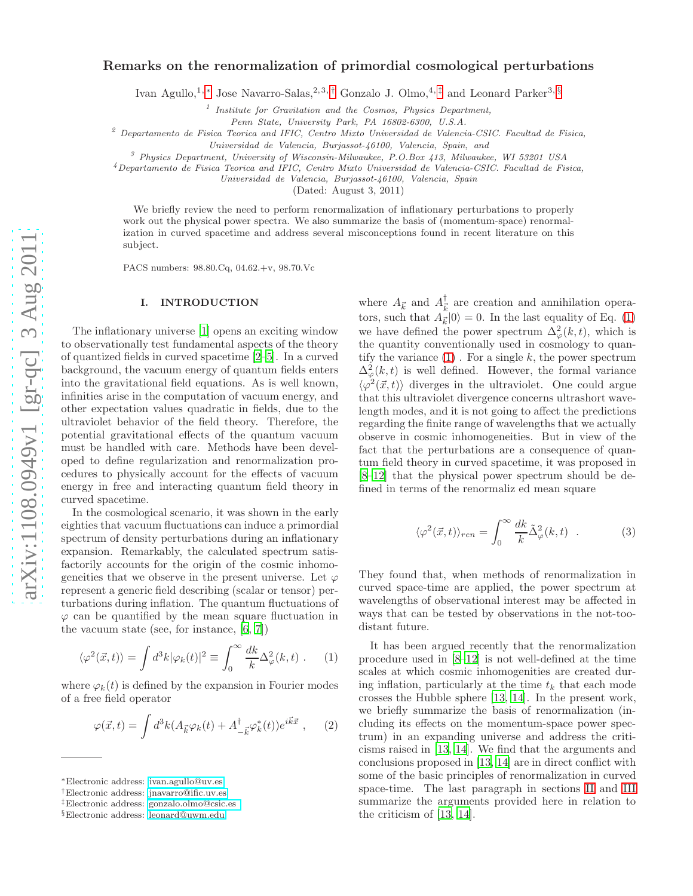# Remarks on the renormalization of primordial cosmological perturbations

Ivan Agullo,<sup>1,[∗](#page-0-0)</sup> Jose Navarro-Salas,<sup>2,3,[†](#page-0-1)</sup> Gonzalo J. Olmo,<sup>4,[‡](#page-0-2)</sup> and Leonard Parker<sup>3, [§](#page-0-3)</sup>

<sup>1</sup> Institute for Gravitation and the Cosmos, Physics Department,

Penn State, University Park, PA 16802-6300, U.S.A.

 $2^{2}$  Departamento de Fisica Teorica and IFIC, Centro Mixto Universidad de Valencia-CSIC. Facultad de Fisica,

Universidad de Valencia, Burjassot-46100, Valencia, Spain, and

 $3$  Physics Department, University of Wisconsin-Milwaukee, P.O.Box 413, Milwaukee, WI 53201 USA

<sup>4</sup>Departamento de Fisica Teorica and IFIC, Centro Mixto Universidad de Valencia-CSIC. Facultad de Fisica,

Universidad de Valencia, Burjassot-46100, Valencia, Spai n

(Dated: August 3, 2011)

We briefly review the need to perform renormalization of inflationary perturbations to properly work out the physical power spectra. We also summarize the basis of (momentum-space) renormalization in curved spacetime and address several misconceptions found in recent literature on this subject.

PACS numbers: 98.80.Cq, 04.62.+v, 98.70.Vc

## I. INTRODUCTION

The inflationary universe [\[1\]](#page-4-0) opens an exciting window to observationally test fundamental aspects of the theory of quantized fields in curved spacetime [\[2](#page-4-1)[–5\]](#page-4-2). In a curved background, the vacuum energy of quantum fields enters into the gravitational field equations. As is well known, infinities arise in the computation of vacuum energy, and other expectation values quadratic in fields, due to the ultraviolet behavior of the field theory. Therefore, the potential gravitational effects of the quantum vacuum must be handled with care. Methods have been developed to define regularization and renormalization procedures to physically account for the effects of vacuum energy in free and interacting quantum field theory in curved spacetime.

In the cosmological scenario, it was shown in the early eighties that vacuum fluctuations can induce a primordial spectrum of density perturbations during an inflationary expansion. Remarkably, the calculated spectrum satisfactorily accounts for the origin of the cosmic inhomogeneities that we observe in the present universe. Let  $\varphi$ represent a generic field describing (scalar or tensor) perturbations during inflation. The quantum fluctuations of  $\varphi$  can be quantified by the mean square fluctuation in the vacuum state (see, for instance, [\[6,](#page-4-3) [7\]](#page-4-4))

<span id="page-0-4"></span>
$$
\langle \varphi^2(\vec{x},t) \rangle = \int d^3k |\varphi_k(t)|^2 \equiv \int_0^\infty \frac{dk}{k} \Delta_\varphi^2(k,t) \ . \tag{1}
$$

where  $\varphi_k(t)$  is defined by the expansion in Fourier modes of a free field operator

<span id="page-0-5"></span>
$$
\varphi(\vec{x},t) = \int d^3k (A_{\vec{k}} \varphi_k(t) + A_{-\vec{k}}^{\dagger} \varphi_k^*(t)) e^{i\vec{k}\vec{x}} , \quad (2)
$$

where  $A_{\vec{k}}$  and  $A_{\vec{k}}^{\dagger}$  $\frac{1}{k}$  are creation and annihilation operators, such that  $A_{\vec{k}}|0\rangle = 0$ . In the last equality of Eq. [\(1\)](#page-0-4) we have defined the power spectrum  $\Delta^2_{\varphi}(k,t)$ , which is the quantity conventionally used in cosmology to quantify the variance  $(1)$ . For a single k, the power spectrum  $\Delta_{\varphi}^{2}(k,t)$  is well defined. However, the formal variance  $\langle \varphi^2(\vec{x}, t) \rangle$  diverges in the ultraviolet. One could argue that this ultraviolet divergence concerns ultrashort wavelength modes, and it is not going to affect the predictions regarding the finite range of wavelengths that we actually observe in cosmic inhomogeneities. But in view of the fact that the perturbations are a consequence of quantum field theory in curved spacetime, it was proposed in [\[8](#page-4-5)[–12\]](#page-4-6) that the physical power spectrum should be defined in terms of the renormaliz ed mean square

$$
\langle \varphi^2(\vec{x},t) \rangle_{ren} = \int_0^\infty \frac{dk}{k} \tilde{\Delta}_\varphi^2(k,t) . \tag{3}
$$

They found that, when methods of renormalization in curved space-time are applied, the power spectrum at wavelengths of observational interest may be affected in ways that can be tested by observations in the not-toodistant future.

It has been argued recently that the renormalization procedure used in [\[8](#page-4-5)[–12\]](#page-4-6) is not well-defined at the time scales at which cosmic inhomogenities are created during inflation, particularly at the time  $t_k$  that each mode crosses the Hubble sphere [\[13](#page-4-7), [14\]](#page-4-8). In the present work, we briefly summarize the basis of renormalization (including its effects on the momentum-space power spectrum) in an expanding universe and address the criticisms raised in [\[13,](#page-4-7) [14\]](#page-4-8). We find that the arguments and conclusions proposed in [\[13,](#page-4-7) [14](#page-4-8)] are in direct conflict with some of the basic principles of renormalization in curved space-time. The last paragraph in sections [II](#page-1-0) and [III](#page-2-0) summarize the arguments provided here in relation to the criticism of [\[13,](#page-4-7) [14\]](#page-4-8).

<span id="page-0-0"></span><sup>∗</sup>Electronic address: [ivan.agullo@uv.es](mailto:ivan.agullo@uv.es)

<span id="page-0-1"></span><sup>†</sup>Electronic address: [jnavarro@ific.uv.es](mailto:jnavarro@ific.uv.es)

<span id="page-0-2"></span><sup>‡</sup>Electronic address: [gonzalo.olmo@csic.es](mailto:gonzalo.olmo@csic.es )

<span id="page-0-3"></span><sup>§</sup>Electronic address: [leonard@uwm.edu](mailto:leonard@uwm.edu)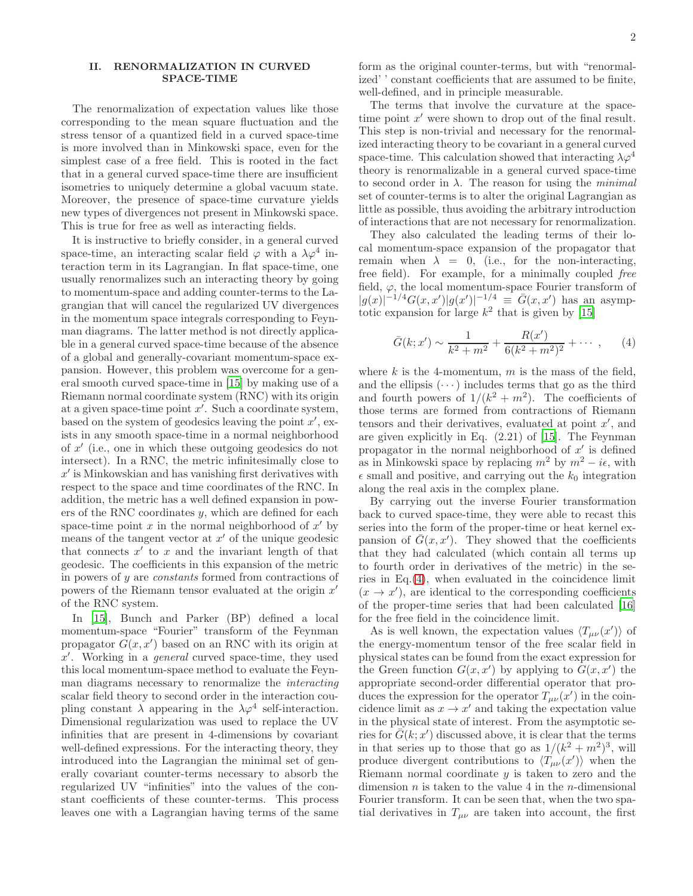### <span id="page-1-0"></span>II. RENORMALIZATION IN CURVED SPACE-TIME

The renormalization of expectation values like those corresponding to the mean square fluctuation and the stress tensor of a quantized field in a curved space-time is more involved than in Minkowski space, even for the simplest case of a free field. This is rooted in the fact that in a general curved space-time there are insufficient isometries to uniquely determine a global vacuum state. Moreover, the presence of space-time curvature yields new types of divergences not present in Minkowski space. This is true for free as well as interacting fields.

It is instructive to briefly consider, in a general curved space-time, an interacting scalar field  $\varphi$  with a  $\lambda \varphi^4$  interaction term in its Lagrangian. In flat space-time, one usually renormalizes such an interacting theory by going to momentum-space and adding counter-terms to the Lagrangian that will cancel the regularized UV divergences in the momentum space integrals corresponding to Feynman diagrams. The latter method is not directly applicable in a general curved space-time because of the absence of a global and generally-covariant momentum-space expansion. However, this problem was overcome for a general smooth curved space-time in [\[15\]](#page-4-9) by making use of a Riemann normal coordinate system (RNC) with its origin at a given space-time point  $x'$ . Such a coordinate system, based on the system of geodesics leaving the point  $x'$ , exists in any smooth space-time in a normal neighborhood of x ′ (i.e., one in which these outgoing geodesics do not intersect). In a RNC, the metric infinitesimally close to  $x'$  is Minkowskian and has vanishing first derivatives with respect to the space and time coordinates of the RNC. In addition, the metric has a well defined expansion in powers of the RNC coordinates y, which are defined for each space-time point  $x$  in the normal neighborhood of  $x'$  by means of the tangent vector at  $x'$  of the unique geodesic that connects  $x'$  to  $x$  and the invariant length of that geodesic. The coefficients in this expansion of the metric in powers of y are constants formed from contractions of powers of the Riemann tensor evaluated at the origin  $x'$ of the RNC system.

In [\[15\]](#page-4-9), Bunch and Parker (BP) defined a local momentum-space "Fourier" transform of the Feynman propagator  $G(x, x')$  based on an RNC with its origin at x ′ . Working in a general curved space-time, they used this local momentum-space method to evaluate the Feynman diagrams necessary to renormalize the interacting scalar field theory to second order in the interaction coupling constant  $\lambda$  appearing in the  $\lambda \varphi^4$  self-interaction. Dimensional regularization was used to replace the UV infinities that are present in 4-dimensions by covariant well-defined expressions. For the interacting theory, they introduced into the Lagrangian the minimal set of generally covariant counter-terms necessary to absorb the regularized UV "infinities" into the values of the constant coefficients of these counter-terms. This process leaves one with a Lagrangian having terms of the same

form as the original counter-terms, but with "renormalized' ' constant coefficients that are assumed to be finite, well-defined, and in principle measurable.

The terms that involve the curvature at the spacetime point  $x'$  were shown to drop out of the final result. This step is non-trivial and necessary for the renormalized interacting theory to be covariant in a general curved space-time. This calculation showed that interacting  $\lambda \varphi^4$ theory is renormalizable in a general curved space-time to second order in  $\lambda$ . The reason for using the *minimal* set of counter-terms is to alter the original Lagrangian as little as possible, thus avoiding the arbitrary introduction of interactions that are not necessary for renormalization.

They also calculated the leading terms of their local momentum-space expansion of the propagator that remain when  $\lambda = 0$ , (i.e., for the non-interacting, free field). For example, for a minimally coupled free field,  $\varphi$ , the local momentum-space Fourier transform of  $|g(x)|^{-1/4} G(x, x') |g(x')|^{-1/4} \equiv \bar{G}(x, x')$  has an asymptotic expansion for large  $k^2$  that is given by [\[15\]](#page-4-9)

<span id="page-1-1"></span>
$$
\bar{G}(k; x') \sim \frac{1}{k^2 + m^2} + \frac{R(x')}{6(k^2 + m^2)^2} + \cdots , \qquad (4)
$$

where  $k$  is the 4-momentum,  $m$  is the mass of the field, and the ellipsis  $(\cdots)$  includes terms that go as the third and fourth powers of  $1/(k^2 + m^2)$ . The coefficients of those terms are formed from contractions of Riemann tensors and their derivatives, evaluated at point  $x'$ , and are given explicitly in Eq. (2.21) of [\[15](#page-4-9)]. The Feynman propagator in the normal neighborhood of  $x'$  is defined as in Minkowski space by replacing  $m^2$  by  $m^2 - i\epsilon$ , with  $\epsilon$  small and positive, and carrying out the  $k_0$  integration along the real axis in the complex plane.

By carrying out the inverse Fourier transformation back to curved space-time, they were able to recast this series into the form of the proper-time or heat kernel expansion of  $\bar{G}(x, x')$ . They showed that the coefficients that they had calculated (which contain all terms up to fourth order in derivatives of the metric) in the series in Eq.[\(4\)](#page-1-1), when evaluated in the coincidence limit  $(x \rightarrow x')$ , are identical to the corresponding coefficients of the proper-time series that had been calculated [\[16](#page-4-10)] for the free field in the coincidence limit.

As is well known, the expectation values  $\langle T_{\mu\nu}(x')\rangle$  of the energy-momentum tensor of the free scalar field in physical states can be found from the exact expression for the Green function  $G(x, x')$  by applying to  $G(x, x')$  the appropriate second-order differential operator that produces the expression for the operator  $T_{\mu\nu}(x')$  in the coincidence limit as  $x \to x'$  and taking the expectation value in the physical state of interest. From the asymptotic series for  $\overline{G}(k; x')$  discussed above, it is clear that the terms in that series up to those that go as  $1/(k^2 + m^2)^3$ , will produce divergent contributions to  $\langle T_{\mu\nu}(x')\rangle$  when the Riemann normal coordinate  $y$  is taken to zero and the dimension  $n$  is taken to the value 4 in the  $n$ -dimensional Fourier transform. It can be seen that, when the two spatial derivatives in  $T_{\mu\nu}$  are taken into account, the first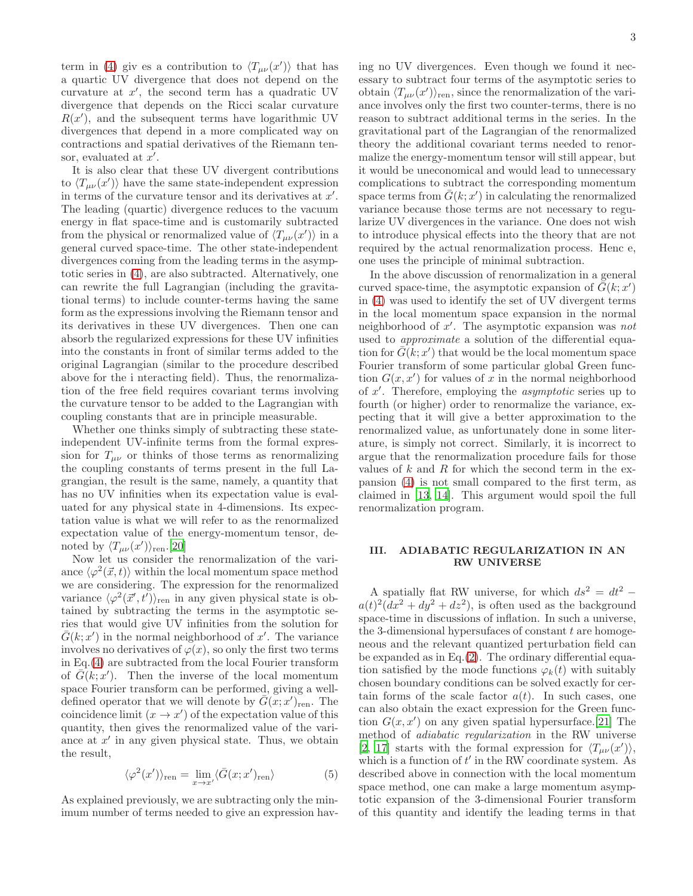term in [\(4\)](#page-1-1) giv es a contribution to  $\langle T_{\mu\nu}(x')\rangle$  that has a quartic UV divergence that does not depend on the curvature at  $x'$ , the second term has a quadratic UV divergence that depends on the Ricci scalar curvature  $R(x')$ , and the subsequent terms have logarithmic UV divergences that depend in a more complicated way on contractions and spatial derivatives of the Riemann tensor, evaluated at  $x'$ .

It is also clear that these UV divergent contributions to  $\langle T_{\mu\nu}(x')\rangle$  have the same state-independent expression in terms of the curvature tensor and its derivatives at  $x'$ . The leading (quartic) divergence reduces to the vacuum energy in flat space-time and is customarily subtracted from the physical or renormalized value of  $\langle T_{\mu\nu}(x')\rangle$  in a general curved space-time. The other state-independent divergences coming from the leading terms in the asymptotic series in [\(4\)](#page-1-1), are also subtracted. Alternatively, one can rewrite the full Lagrangian (including the gravitational terms) to include counter-terms having the same form as the expressions involving the Riemann tensor and its derivatives in these UV divergences. Then one can absorb the regularized expressions for these UV infinities into the constants in front of similar terms added to the original Lagrangian (similar to the procedure described above for the i nteracting field). Thus, the renormalization of the free field requires covariant terms involving the curvature tensor to be added to the Lagrangian with coupling constants that are in principle measurable.

Whether one thinks simply of subtracting these stateindependent UV-infinite terms from the formal expression for  $T_{\mu\nu}$  or thinks of those terms as renormalizing the coupling constants of terms present in the full Lagrangian, the result is the same, namely, a quantity that has no UV infinities when its expectation value is evaluated for any physical state in 4-dimensions. Its expectation value is what we will refer to as the renormalized expectation value of the energy-momentum tensor, denoted by  $\langle T_{\mu\nu}(x')\rangle_{\text{ren}}$ .[\[20](#page-4-11)]

Now let us consider the renormalization of the variance  $\langle \varphi^2(\vec{x}, t) \rangle$  within the local momentum space method we are considering. The expression for the renormalized variance  $\langle \varphi^2(\vec{x}', t') \rangle_{\text{ren}}$  in any given physical state is obtained by subtracting the terms in the asymptotic series that would give UV infinities from the solution for  $\bar{G}(k; x')$  in the normal neighborhood of x'. The variance involves no derivatives of  $\varphi(x)$ , so only the first two terms in Eq.[\(4\)](#page-1-1) are subtracted from the local Fourier transform of  $\bar{G}(k; x')$ . Then the inverse of the local momentum space Fourier transform can be performed, giving a welldefined operator that we will denote by  $\overline{G}(x; x')_{\text{ren}}$ . The coincidence limit  $(x \to x')$  of the expectation value of this quantity, then gives the renormalized value of the variance at  $x'$  in any given physical state. Thus, we obtain the result,

$$
\langle \varphi^2(x') \rangle_{\text{ren}} = \lim_{x \to x'} \langle \bar{G}(x; x')_{\text{ren}} \rangle \tag{5}
$$

As explained previously, we are subtracting only the minimum number of terms needed to give an expression having no UV divergences. Even though we found it necessary to subtract four terms of the asymptotic series to obtain  $\langle T_{\mu\nu}(x')\rangle_{\text{ren}}$ , since the renormalization of the variance involves only the first two counter-terms, there is no reason to subtract additional terms in the series. In the gravitational part of the Lagrangian of the renormalized theory the additional covariant terms needed to renormalize the energy-momentum tensor will still appear, but it would be uneconomical and would lead to unnecessary complications to subtract the corresponding momentum space terms from  $\bar{G}(k; x')$  in calculating the renormalized variance because those terms are not necessary to regularize UV divergences in the variance. One does not wish to introduce physical effects into the theory that are not required by the actual renormalization process. Henc e, one uses the principle of minimal subtraction.

In the above discussion of renormalization in a general curved space-time, the asymptotic expansion of  $\bar{G}(k; x')$ in [\(4\)](#page-1-1) was used to identify the set of UV divergent terms in the local momentum space expansion in the normal neighborhood of x'. The asymptotic expansion was not used to approximate a solution of the differential equation for  $\overline{G}(k; x')$  that would be the local momentum space Fourier transform of some particular global Green function  $G(x, x')$  for values of x in the normal neighborhood of x ′ . Therefore, employing the asymptotic series up to fourth (or higher) order to renormalize the variance, expecting that it will give a better approximation to the renormalized value, as unfortunately done in some literature, is simply not correct. Similarly, it is incorrect to argue that the renormalization procedure fails for those values of  $k$  and  $R$  for which the second term in the expansion [\(4\)](#page-1-1) is not small compared to the first term, as claimed in [\[13](#page-4-7), [14\]](#page-4-8). This argument would spoil the full renormalization program.

### <span id="page-2-0"></span>III. ADIABATIC REGULARIZATION IN AN RW UNIVERSE

A spatially flat RW universe, for which  $ds^2 = dt^2$  –  $a(t)^2(dx^2+dy^2+dz^2)$ , is often used as the background space-time in discussions of inflation. In such a universe, the 3-dimensional hypersufaces of constant  $t$  are homogeneous and the relevant quantized perturbation field can be expanded as in Eq.[\(2\)](#page-0-5). The ordinary differential equation satisfied by the mode functions  $\varphi_k(t)$  with suitably chosen boundary conditions can be solved exactly for certain forms of the scale factor  $a(t)$ . In such cases, one can also obtain the exact expression for the Green function  $G(x, x')$  on any given spatial hypersurface. [\[21\]](#page-4-12) The method of adiabatic regularization in the RW universe [\[2,](#page-4-1) [17](#page-4-13)] starts with the formal expression for  $\langle T_{\mu\nu}(x')\rangle$ , which is a function of  $t'$  in the RW coordinate system. As described above in connection with the local momentum space method, one can make a large momentum asymptotic expansion of the 3-dimensional Fourier transform of this quantity and identify the leading terms in that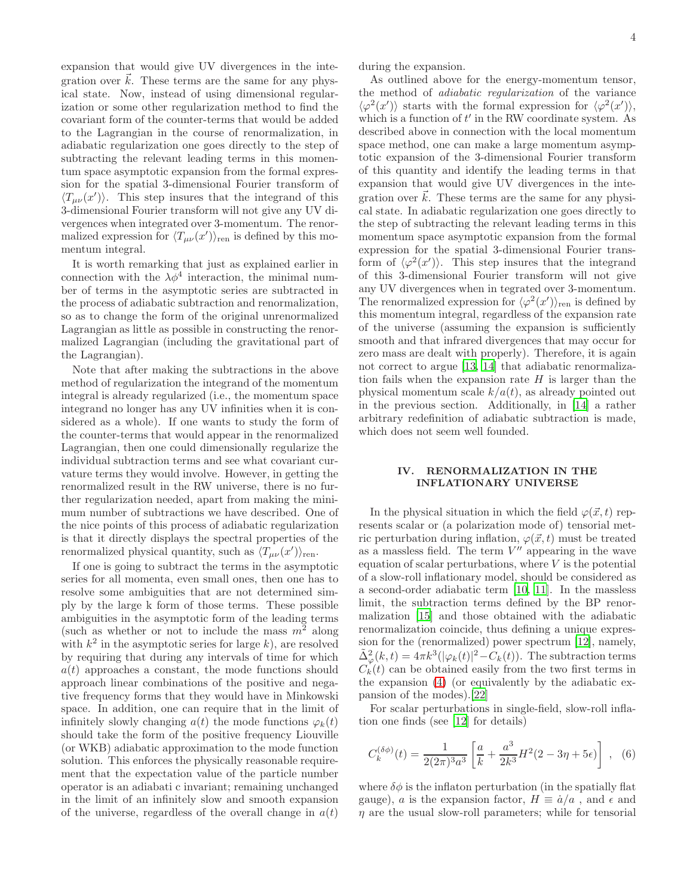expansion that would give UV divergences in the integration over  $\vec{k}$ . These terms are the same for any physical state. Now, instead of using dimensional regularization or some other regularization method to find the covariant form of the counter-terms that would be added to the Lagrangian in the course of renormalization, in adiabatic regularization one goes directly to the step of subtracting the relevant leading terms in this momentum space asymptotic expansion from the formal expression for the spatial 3-dimensional Fourier transform of  $\langle T_{\mu\nu}(x')\rangle$ . This step insures that the integrand of this 3-dimensional Fourier transform will not give any UV divergences when integrated over 3-momentum. The renormalized expression for  $\langle T_{\mu\nu}(x')\rangle_{\text{ren}}$  is defined by this momentum integral.

It is worth remarking that just as explained earlier in connection with the  $\lambda \phi^4$  interaction, the minimal number of terms in the asymptotic series are subtracted in the process of adiabatic subtraction and renormalization, so as to change the form of the original unrenormalized Lagrangian as little as possible in constructing the renormalized Lagrangian (including the gravitational part of the Lagrangian).

Note that after making the subtractions in the above method of regularization the integrand of the momentum integral is already regularized (i.e., the momentum space integrand no longer has any UV infinities when it is considered as a whole). If one wants to study the form of the counter-terms that would appear in the renormalized Lagrangian, then one could dimensionally regularize the individual subtraction terms and see what covariant curvature terms they would involve. However, in getting the renormalized result in the RW universe, there is no further regularization needed, apart from making the minimum number of subtractions we have described. One of the nice points of this process of adiabatic regularization is that it directly displays the spectral properties of the renormalized physical quantity, such as  $\langle T_{\mu\nu}(x')\rangle_{\text{ren}}$ .

If one is going to subtract the terms in the asymptotic series for all momenta, even small ones, then one has to resolve some ambiguities that are not determined simply by the large k form of those terms. These possible ambiguities in the asymptotic form of the leading terms (such as whether or not to include the mass  $m^2$  along with  $k^2$  in the asymptotic series for large k, are resolved by requiring that during any intervals of time for which  $a(t)$  approaches a constant, the mode functions should approach linear combinations of the positive and negative frequency forms that they would have in Minkowski space. In addition, one can require that in the limit of infinitely slowly changing  $a(t)$  the mode functions  $\varphi_k(t)$ should take the form of the positive frequency Liouville (or WKB) adiabatic approximation to the mode function solution. This enforces the physically reasonable requirement that the expectation value of the particle number operator is an adiabati c invariant; remaining unchanged in the limit of an infinitely slow and smooth expansion of the universe, regardless of the overall change in  $a(t)$ 

during the expansion.

As outlined above for the energy-momentum tensor, the method of adiabatic regularization of the variance  $\langle \varphi^2(x') \rangle$  starts with the formal expression for  $\langle \varphi^2(x') \rangle$ , which is a function of  $t'$  in the RW coordinate system. As described above in connection with the local momentum space method, one can make a large momentum asymptotic expansion of the 3-dimensional Fourier transform of this quantity and identify the leading terms in that expansion that would give UV divergences in the integration over  $\vec{k}$ . These terms are the same for any physical state. In adiabatic regularization one goes directly to the step of subtracting the relevant leading terms in this momentum space asymptotic expansion from the formal expression for the spatial 3-dimensional Fourier transform of  $\langle \varphi^2(x') \rangle$ . This step insures that the integrand of this 3-dimensional Fourier transform will not give any UV divergences when in tegrated over 3-momentum. The renormalized expression for  $\langle \varphi^2(x') \rangle_{\text{ren}}$  is defined by this momentum integral, regardless of the expansion rate of the universe (assuming the expansion is sufficiently smooth and that infrared divergences that may occur for zero mass are dealt with properly). Therefore, it is again not correct to argue [\[13,](#page-4-7) [14\]](#page-4-8) that adiabatic renormalization fails when the expansion rate  $H$  is larger than the physical momentum scale  $k/a(t)$ , as already pointed out in the previous section. Additionally, in [\[14](#page-4-8)] a rather arbitrary redefinition of adiabatic subtraction is made, which does not seem well founded.

#### IV. RENORMALIZATION IN THE INFLATIONARY UNIVERSE

In the physical situation in which the field  $\varphi(\vec{x}, t)$  represents scalar or (a polarization mode of) tensorial metric perturbation during inflation,  $\varphi(\vec{x}, t)$  must be treated as a massless field. The term  $V''$  appearing in the wave equation of scalar perturbations, where  $V$  is the potential of a slow-roll inflationary model, should be considered as a second-order adiabatic term [\[10](#page-4-14), [11\]](#page-4-15). In the massless limit, the subtraction terms defined by the BP renormalization [\[15](#page-4-9)] and those obtained with the adiabatic renormalization coincide, thus defining a unique expression for the (renormalized) power spectrum [\[12](#page-4-6)], namely,  $\tilde{\Delta}_{\varphi}^2(k,t) = 4\pi k^3 (|\varphi_k(t)|^2 - C_k(t)).$  The subtraction terms  $C_k(t)$  can be obtained easily from the two first terms in the expansion [\(4\)](#page-1-1) (or equivalently by the adiabatic expansion of the modes).[\[22\]](#page-4-16)

For scalar perturbations in single-field, slow-roll inflation one finds (see [\[12](#page-4-6)] for details)

<span id="page-3-0"></span>
$$
C_k^{(\delta\phi)}(t) = \frac{1}{2(2\pi)^3 a^3} \left[ \frac{a}{k} + \frac{a^3}{2k^3} H^2(2 - 3\eta + 5\epsilon) \right], \quad (6)
$$

where  $\delta\phi$  is the inflaton perturbation (in the spatially flat gauge), a is the expansion factor,  $H \equiv \dot{a}/a$ , and  $\epsilon$  and  $\eta$  are the usual slow-roll parameters; while for tensorial